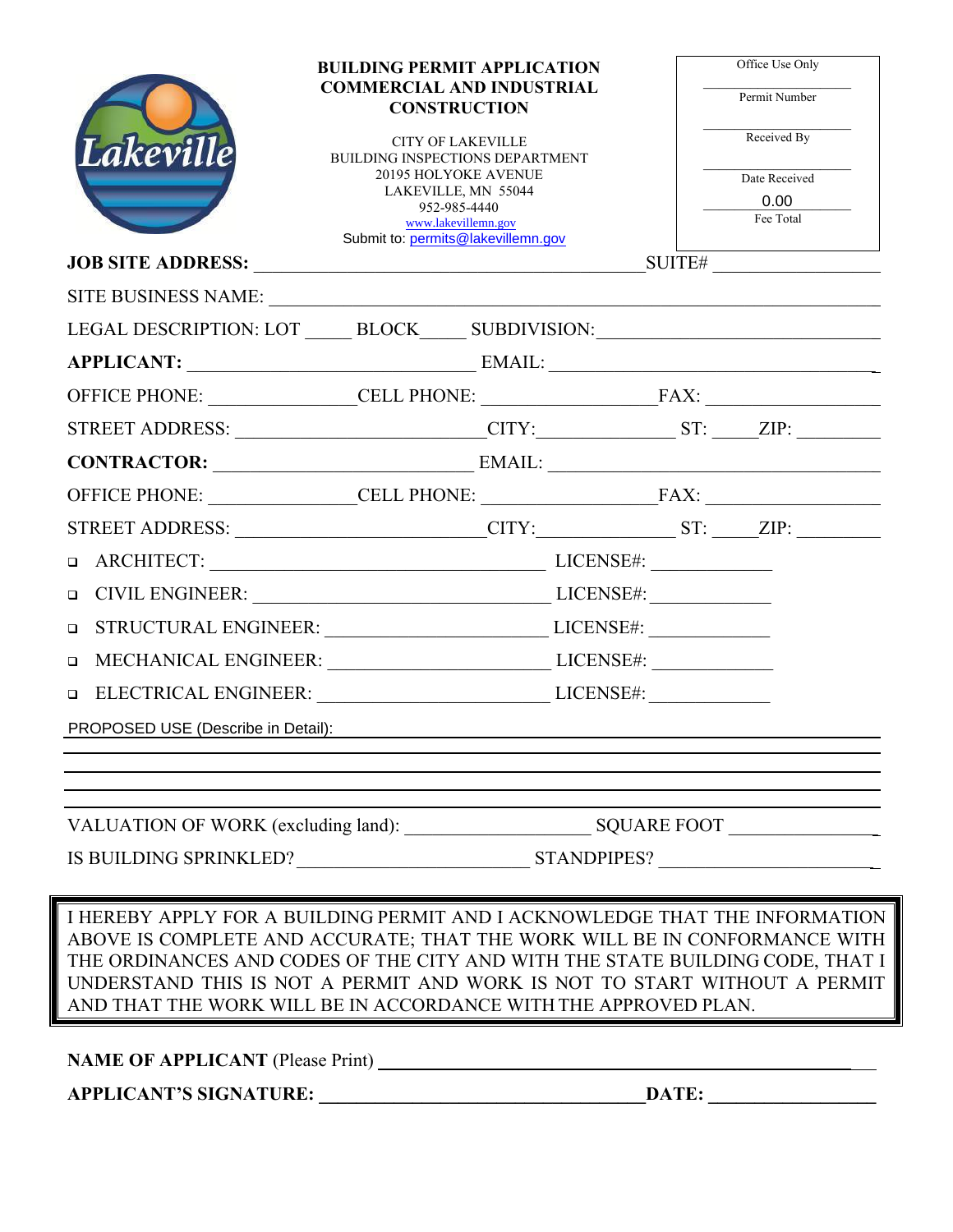| <b>Lakeville</b>                   | <b>BUILDING PERMIT APPLICATION</b><br><b>COMMERCIAL AND INDUSTRIAL</b><br><b>CONSTRUCTION</b><br><b>CITY OF LAKEVILLE</b><br>BUILDING INSPECTIONS DEPARTMENT<br><b>20195 HOLYOKE AVENUE</b><br>LAKEVILLE, MN 55044<br>952-985-4440<br>www.lakevillemn.gov<br>Submit to: permits@lakevillemn.gov | Office Use Only<br>Permit Number<br>Received By<br>Date Received<br>0.00<br>Fee Total                                                                                                                                                                                                                                  |
|------------------------------------|-------------------------------------------------------------------------------------------------------------------------------------------------------------------------------------------------------------------------------------------------------------------------------------------------|------------------------------------------------------------------------------------------------------------------------------------------------------------------------------------------------------------------------------------------------------------------------------------------------------------------------|
|                                    |                                                                                                                                                                                                                                                                                                 |                                                                                                                                                                                                                                                                                                                        |
|                                    |                                                                                                                                                                                                                                                                                                 | LEGAL DESCRIPTION: LOT ______ BLOCK______ SUBDIVISION:___________________________                                                                                                                                                                                                                                      |
|                                    |                                                                                                                                                                                                                                                                                                 | APPLICANT: EMAIL: EMAIL:                                                                                                                                                                                                                                                                                               |
|                                    |                                                                                                                                                                                                                                                                                                 |                                                                                                                                                                                                                                                                                                                        |
|                                    |                                                                                                                                                                                                                                                                                                 | STREET ADDRESS: _________________________CITY: ______________ST: ______ZIP: ________________________                                                                                                                                                                                                                   |
|                                    |                                                                                                                                                                                                                                                                                                 | CONTRACTOR: EMAIL: EMAIL:                                                                                                                                                                                                                                                                                              |
|                                    |                                                                                                                                                                                                                                                                                                 |                                                                                                                                                                                                                                                                                                                        |
|                                    |                                                                                                                                                                                                                                                                                                 | STREET ADDRESS: _________________________CITY:_______________ST: _____ZIP: _______                                                                                                                                                                                                                                     |
| $\Box$                             | CIVIL ENGINEER: LICENSE#:                                                                                                                                                                                                                                                                       |                                                                                                                                                                                                                                                                                                                        |
| $\Box$                             | STRUCTURAL ENGINEER: LICENSE#:                                                                                                                                                                                                                                                                  |                                                                                                                                                                                                                                                                                                                        |
| $\Box$                             | MECHANICAL ENGINEER: LICENSE#:                                                                                                                                                                                                                                                                  |                                                                                                                                                                                                                                                                                                                        |
|                                    | □ ELECTRICAL ENGINEER: UNIVERSE#: LICENSE#:                                                                                                                                                                                                                                                     |                                                                                                                                                                                                                                                                                                                        |
| PROPOSED USE (Describe in Detail): |                                                                                                                                                                                                                                                                                                 |                                                                                                                                                                                                                                                                                                                        |
|                                    |                                                                                                                                                                                                                                                                                                 |                                                                                                                                                                                                                                                                                                                        |
|                                    |                                                                                                                                                                                                                                                                                                 |                                                                                                                                                                                                                                                                                                                        |
|                                    |                                                                                                                                                                                                                                                                                                 |                                                                                                                                                                                                                                                                                                                        |
|                                    |                                                                                                                                                                                                                                                                                                 |                                                                                                                                                                                                                                                                                                                        |
|                                    |                                                                                                                                                                                                                                                                                                 |                                                                                                                                                                                                                                                                                                                        |
|                                    | AND THAT THE WORK WILL BE IN ACCORDANCE WITH THE APPROVED PLAN.                                                                                                                                                                                                                                 | I HEREBY APPLY FOR A BUILDING PERMIT AND I ACKNOWLEDGE THAT THE INFORMATION<br>ABOVE IS COMPLETE AND ACCURATE; THAT THE WORK WILL BE IN CONFORMANCE WITH<br>THE ORDINANCES AND CODES OF THE CITY AND WITH THE STATE BUILDING CODE, THAT I<br>UNDERSTAND THIS IS NOT A PERMIT AND WORK IS NOT TO START WITHOUT A PERMIT |
|                                    |                                                                                                                                                                                                                                                                                                 |                                                                                                                                                                                                                                                                                                                        |
| <b>APPLICANT'S SIGNATURE:</b>      | DATE:                                                                                                                                                                                                                                                                                           |                                                                                                                                                                                                                                                                                                                        |